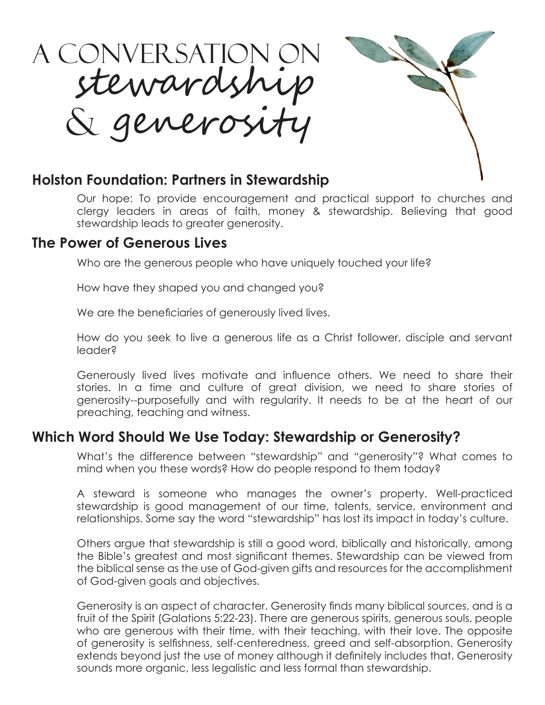

### **Holston Foundation: Partners in Stewardship**

Our hope: To provide encouragement and practical support to churches and clergy leaders in areas of faith, money & stewardship. Believing that good stewardship leads to greater generosity.

### **The Power of Generous Lives**

Who are the generous people who have uniquely touched your life?

How have they shaped you and changed you?

We are the beneficiaries of generously lived lives.

How do you seek to live a generous life as a Christ follower, disciple and servant leader?

Generously lived lives motivate and influence others. We need to share their stories. In a time and culture of great division, we need to share stories of generosity--purposefully and with regularity. It needs to be at the heart of our preaching, teaching and witness.

## **Which Word Should We Use Today: Stewardship or Generosity?**

What's the difference between "stewardship" and "generosity"? What comes to mind when you these words? How do people respond to them today?

A steward is someone who manages the owner's property. Well-practiced stewardship is good management of our time, talents, service, environment and relationships. Some say the word "stewardship" has lost its impact in today's culture.

Others argue that stewardship is still a good word, biblically and historically, among the Bible's greatest and most significant themes. Stewardship can be viewed from the biblical sense as the use of God-given gifts and resources for the accomplishment of God-given goals and objectives.

Generosity is an aspect of character. Generosity finds many biblical sources, and is a fruit of the Spirit (Galations 5:22-23). There are generous spirits, generous souls, people who are generous with their time, with their teaching, with their love. The opposite of generosity is selfishness, self-centeredness, greed and self-absorption. Generosity extends beyond just the use of money although it definitely includes that. Generosity sounds more organic, less legalistic and less formal than stewardship.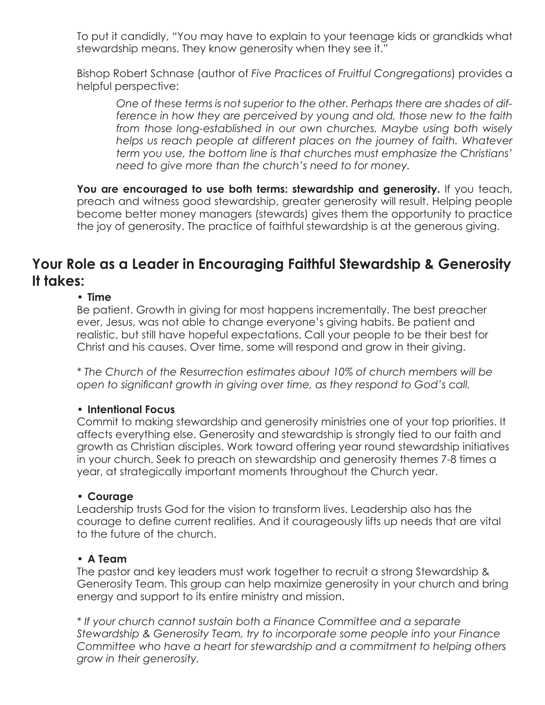To put it candidly, "You may have to explain to your teenage kids or grandkids what stewardship means. They know generosity when they see it."

Bishop Robert Schnase (author of *Five Practices of Fruitful Congregations*) provides a helpful perspective:

*One of these terms is not superior to the other. Perhaps there are shades of difference in how they are perceived by young and old, those new to the faith from those long-established in our own churches. Maybe using both wisely helps us reach people at different places on the journey of faith. Whatever term you use, the bottom line is that churches must emphasize the Christians' need to give more than the church's need to for money.*

You are encouraged to use both terms: stewardship and generosity. If you teach, preach and witness good stewardship, greater generosity will result. Helping people become better money managers (stewards) gives them the opportunity to practice the joy of generosity. The practice of faithful stewardship is at the generous giving.

### **Your Role as a Leader in Encouraging Faithful Stewardship & Generosity It takes:**

#### **• Time**

Be patient. Growth in giving for most happens incrementally. The best preacher ever, Jesus, was not able to change everyone's giving habits. Be patient and realistic, but still have hopeful expectations. Call your people to be their best for Christ and his causes. Over time, some will respond and grow in their giving.

*\* The Church of the Resurrection estimates about 10% of church members will be open to significant growth in giving over time, as they respond to God's call.*

#### **• Intentional Focus**

Commit to making stewardship and generosity ministries one of your top priorities. It affects everything else. Generosity and stewardship is strongly tied to our faith and growth as Christian disciples. Work toward offering year round stewardship initiatives in your church. Seek to preach on stewardship and generosity themes 7-8 times a year, at strategically important moments throughout the Church year.

#### **• Courage**

Leadership trusts God for the vision to transform lives. Leadership also has the courage to define current realities. And it courageously lifts up needs that are vital to the future of the church.

#### **• A Team**

The pastor and key leaders must work together to recruit a strong Stewardship & Generosity Team. This group can help maximize generosity in your church and bring energy and support to its entire ministry and mission.

*\* If your church cannot sustain both a Finance Committee and a separate Stewardship & Generosity Team, try to incorporate some people into your Finance Committee who have a heart for stewardship and a commitment to helping others grow in their generosity.*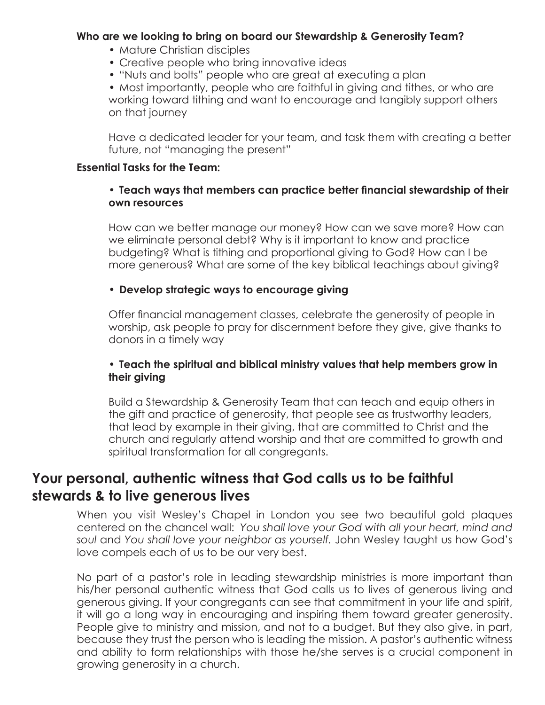#### **Who are we looking to bring on board our Stewardship & Generosity Team?**

- Mature Christian disciples
- Creative people who bring innovative ideas
- "Nuts and bolts" people who are great at executing a plan

• Most importantly, people who are faithful in giving and tithes, or who are working toward tithing and want to encourage and tangibly support others on that journey

Have a dedicated leader for your team, and task them with creating a better future, not "managing the present"

#### **Essential Tasks for the Team:**

#### **• Teach ways that members can practice better financial stewardship of their own resources**

How can we better manage our money? How can we save more? How can we eliminate personal debt? Why is it important to know and practice budgeting? What is tithing and proportional giving to God? How can I be more generous? What are some of the key biblical teachings about giving?

#### **• Develop strategic ways to encourage giving**

Offer financial management classes, celebrate the generosity of people in worship, ask people to pray for discernment before they give, give thanks to donors in a timely way

#### **• Teach the spiritual and biblical ministry values that help members grow in their giving**

Build a Stewardship & Generosity Team that can teach and equip others in the gift and practice of generosity, that people see as trustworthy leaders, that lead by example in their giving, that are committed to Christ and the church and regularly attend worship and that are committed to growth and spiritual transformation for all congregants.

## **Your personal, authentic witness that God calls us to be faithful stewards & to live generous lives**

When you visit Wesley's Chapel in London you see two beautiful gold plaques centered on the chancel wall: *You shall love your God with all your heart, mind and soul* and *You shall love your neighbor as yourself.* John Wesley taught us how God's love compels each of us to be our very best.

No part of a pastor's role in leading stewardship ministries is more important than his/her personal authentic witness that God calls us to lives of generous living and generous giving. If your congregants can see that commitment in your life and spirit, it will go a long way in encouraging and inspiring them toward greater generosity. People give to ministry and mission, and not to a budget. But they also give, in part, because they trust the person who is leading the mission. A pastor's authentic witness and ability to form relationships with those he/she serves is a crucial component in growing generosity in a church.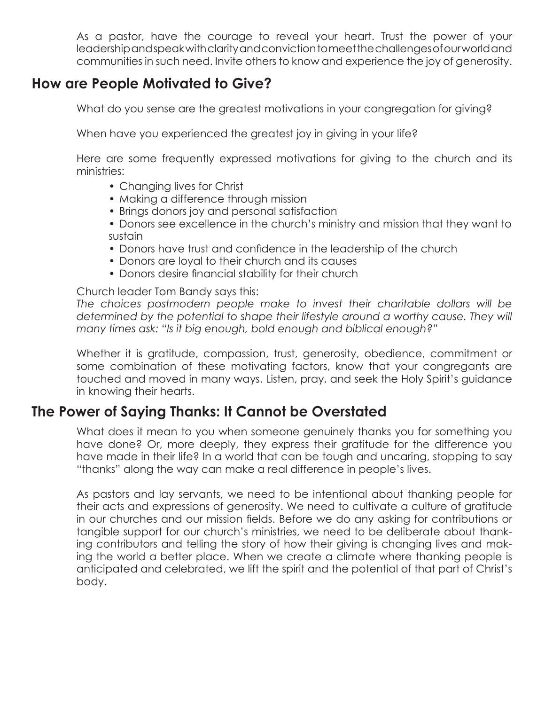As a pastor, have the courage to reveal your heart. Trust the power of your leadership and speak with clarity and conviction to meet the challenges of our world and communities in such need. Invite others to know and experience the joy of generosity.

## **How are People Motivated to Give?**

What do you sense are the greatest motivations in your congregation for giving?

When have you experienced the greatest joy in giving in your life?

Here are some frequently expressed motivations for giving to the church and its ministries:

- Changing lives for Christ
- Making a difference through mission
- Brings donors joy and personal satisfaction
- Donors see excellence in the church's ministry and mission that they want to sustain
- Donors have trust and confidence in the leadership of the church
- Donors are loyal to their church and its causes
- Donors desire financial stability for their church

Church leader Tom Bandy says this:

*The choices postmodern people make to invest their charitable dollars will be determined by the potential to shape their lifestyle around a worthy cause. They will many times ask: "Is it big enough, bold enough and biblical enough?"*

Whether it is gratitude, compassion, trust, generosity, obedience, commitment or some combination of these motivating factors, know that your congregants are touched and moved in many ways. Listen, pray, and seek the Holy Spirit's guidance in knowing their hearts.

## **The Power of Saying Thanks: It Cannot be Overstated**

What does it mean to you when someone genuinely thanks you for something you have done? Or, more deeply, they express their gratitude for the difference you have made in their life? In a world that can be tough and uncaring, stopping to say "thanks" along the way can make a real difference in people's lives.

As pastors and lay servants, we need to be intentional about thanking people for their acts and expressions of generosity. We need to cultivate a culture of gratitude in our churches and our mission fields. Before we do any asking for contributions or tangible support for our church's ministries, we need to be deliberate about thanking contributors and telling the story of how their giving is changing lives and making the world a better place. When we create a climate where thanking people is anticipated and celebrated, we lift the spirit and the potential of that part of Christ's body.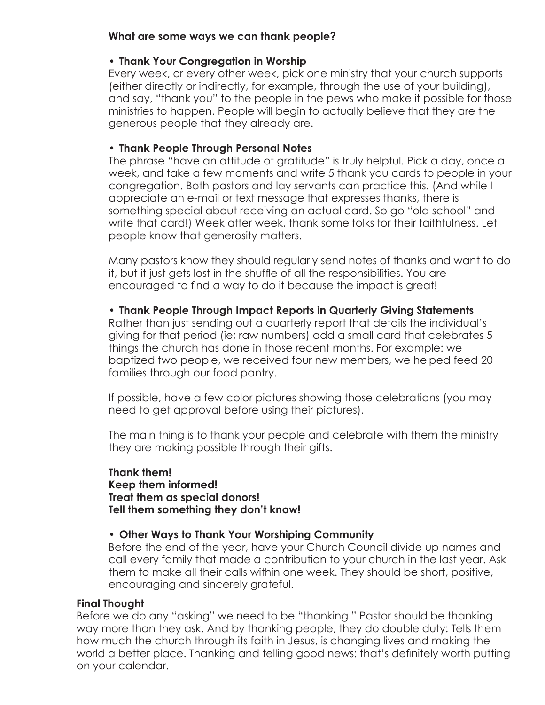#### **What are some ways we can thank people?**

#### **• Thank Your Congregation in Worship**

Every week, or every other week, pick one ministry that your church supports (either directly or indirectly, for example, through the use of your building), and say, "thank you" to the people in the pews who make it possible for those ministries to happen. People will begin to actually believe that they are the generous people that they already are.

#### **• Thank People Through Personal Notes**

The phrase "have an attitude of gratitude" is truly helpful. Pick a day, once a week, and take a few moments and write 5 thank you cards to people in your congregation. Both pastors and lay servants can practice this. (And while I appreciate an e-mail or text message that expresses thanks, there is something special about receiving an actual card. So go "old school" and write that card!) Week after week, thank some folks for their faithfulness. Let people know that generosity matters.

Many pastors know they should regularly send notes of thanks and want to do it, but it just gets lost in the shuffle of all the responsibilities. You are encouraged to find a way to do it because the impact is great!

#### **• Thank People Through Impact Reports in Quarterly Giving Statements**

Rather than just sending out a quarterly report that details the individual's giving for that period (ie; raw numbers) add a small card that celebrates 5 things the church has done in those recent months. For example: we baptized two people, we received four new members, we helped feed 20 families through our food pantry.

If possible, have a few color pictures showing those celebrations (you may need to get approval before using their pictures).

The main thing is to thank your people and celebrate with them the ministry they are making possible through their gifts.

#### **Thank them! Keep them informed! Treat them as special donors! Tell them something they don't know!**

#### **• Other Ways to Thank Your Worshiping Community**

Before the end of the year, have your Church Council divide up names and call every family that made a contribution to your church in the last year. Ask them to make all their calls within one week. They should be short, positive, encouraging and sincerely grateful.

#### **Final Thought**

Before we do any "asking" we need to be "thanking." Pastor should be thanking way more than they ask. And by thanking people, they do double duty: Tells them how much the church through its faith in Jesus, is changing lives and making the world a better place. Thanking and telling good news: that's definitely worth putting on your calendar.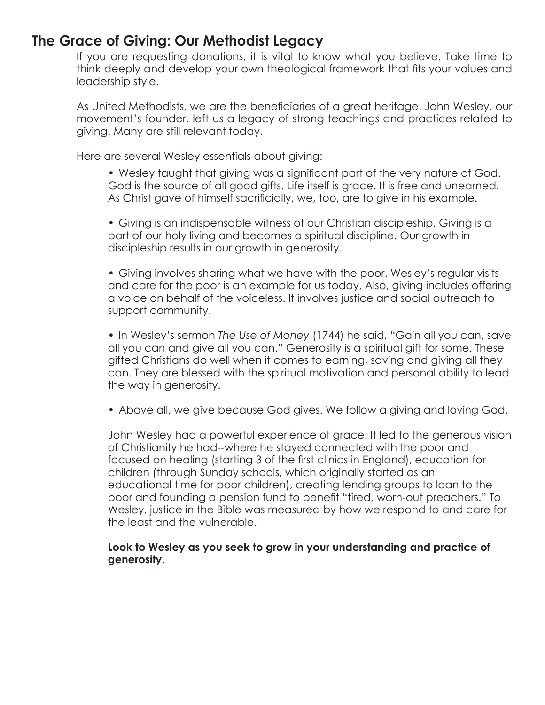### **The Grace of Giving: Our Methodist Legacy**

If you are requesting donations, it is vital to know what you believe. Take time to think deeply and develop your own theological framework that fits your values and leadership style.

As United Methodists, we are the beneficiaries of a great heritage. John Wesley, our movement's founder, left us a legacy of strong teachings and practices related to giving. Many are still relevant today.

Here are several Wesley essentials about giving:

• Wesley taught that giving was a significant part of the very nature of God. God is the source of all good gifts. Life itself is grace. It is free and unearned. As Christ gave of himself sacrificially, we, too, are to give in his example.

• Giving is an indispensable witness of our Christian discipleship. Giving is a part of our holy living and becomes a spiritual discipline. Our growth in discipleship results in our growth in generosity.

• Giving involves sharing what we have with the poor. Wesley's regular visits and care for the poor is an example for us today. Also, giving includes offering a voice on behalf of the voiceless. It involves justice and social outreach to support community.

• In Wesley's sermon *The Use of Money* (1744) he said, "Gain all you can, save all you can and give all you can." Generosity is a spiritual gift for some. These gifted Christians do well when it comes to earning, saving and giving all they can. They are blessed with the spiritual motivation and personal ability to lead the way in generosity.

• Above all, we give because God gives. We follow a giving and loving God.

John Wesley had a powerful experience of grace. It led to the generous vision of Christianity he had--where he stayed connected with the poor and focused on healing (starting 3 of the first clinics in England), education for children (through Sunday schools, which originally started as an educational time for poor children), creating lending groups to loan to the poor and founding a pension fund to benefit "tired, worn-out preachers." To Wesley, justice in the Bible was measured by how we respond to and care for the least and the vulnerable.

#### **Look to Wesley as you seek to grow in your understanding and practice of generosity.**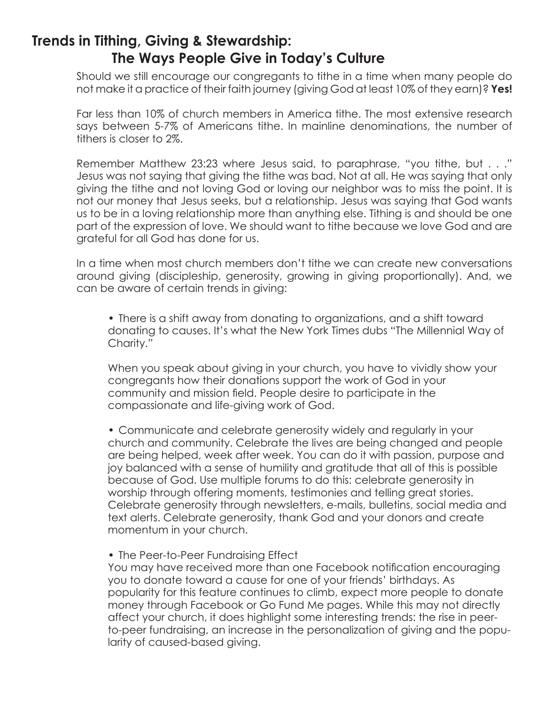## **Trends in Tithing, Giving & Stewardship: The Ways People Give in Today's Culture**

Should we still encourage our congregants to tithe in a time when many people do not make it a practice of their faith journey (giving God at least 10% of they earn)? **Yes!**

Far less than 10% of church members in America tithe. The most extensive research says between 5-7% of Americans tithe. In mainline denominations, the number of tithers is closer to 2%.

Remember Matthew 23:23 where Jesus said, to paraphrase, "you tithe, but . . ." Jesus was not saying that giving the tithe was bad. Not at all. He was saying that only giving the tithe and not loving God or loving our neighbor was to miss the point. It is not our money that Jesus seeks, but a relationship. Jesus was saying that God wants us to be in a loving relationship more than anything else. Tithing is and should be one part of the expression of love. We should want to tithe because we love God and are grateful for all God has done for us.

In a time when most church members don't tithe we can create new conversations around giving (discipleship, generosity, growing in giving proportionally). And, we can be aware of certain trends in giving:

• There is a shift away from donating to organizations, and a shift toward donating to causes. It's what the New York Times dubs "The Millennial Way of Charity."

When you speak about giving in your church, you have to vividly show your congregants how their donations support the work of God in your community and mission field. People desire to participate in the compassionate and life-giving work of God.

• Communicate and celebrate generosity widely and regularly in your church and community. Celebrate the lives are being changed and people are being helped, week after week. You can do it with passion, purpose and joy balanced with a sense of humility and gratitude that all of this is possible because of God. Use multiple forums to do this: celebrate generosity in worship through offering moments, testimonies and telling great stories. Celebrate generosity through newsletters, e-mails, bulletins, social media and text alerts. Celebrate generosity, thank God and your donors and create momentum in your church.

• The Peer-to-Peer Fundraising Effect

You may have received more than one Facebook notification encouraging you to donate toward a cause for one of your friends' birthdays. As popularity for this feature continues to climb, expect more people to donate money through Facebook or Go Fund Me pages. While this may not directly affect your church, it does highlight some interesting trends: the rise in peerto-peer fundraising, an increase in the personalization of giving and the popularity of caused-based giving.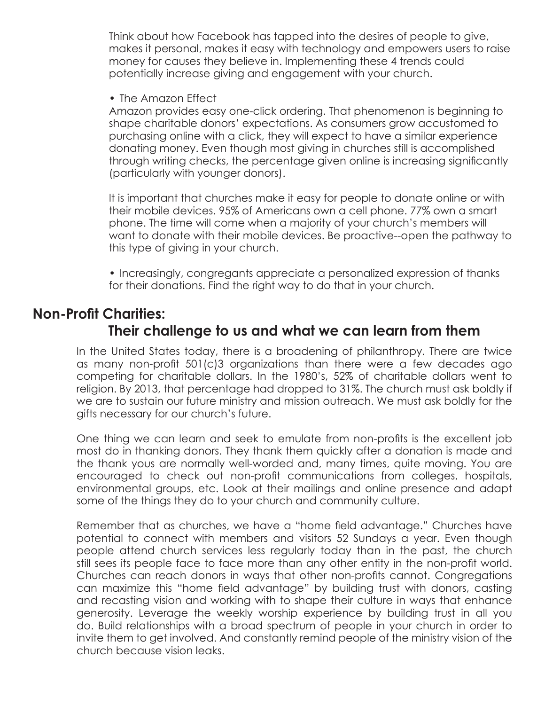Think about how Facebook has tapped into the desires of people to give, makes it personal, makes it easy with technology and empowers users to raise money for causes they believe in. Implementing these 4 trends could potentially increase giving and engagement with your church.

• The Amazon Effect

Amazon provides easy one-click ordering. That phenomenon is beginning to shape charitable donors' expectations. As consumers grow accustomed to purchasing online with a click, they will expect to have a similar experience donating money. Even though most giving in churches still is accomplished through writing checks, the percentage given online is increasing significantly (particularly with younger donors).

It is important that churches make it easy for people to donate online or with their mobile devices. 95% of Americans own a cell phone. 77% own a smart phone. The time will come when a majority of your church's members will want to donate with their mobile devices. Be proactive--open the pathway to this type of giving in your church.

• Increasingly, congregants appreciate a personalized expression of thanks for their donations. Find the right way to do that in your church.

# **Non-Profit Charities:**

### **Their challenge to us and what we can learn from them**

In the United States today, there is a broadening of philanthropy. There are twice as many non-profit 501(c)3 organizations than there were a few decades ago competing for charitable dollars. In the 1980's, 52% of charitable dollars went to religion. By 2013, that percentage had dropped to 31%. The church must ask boldly if we are to sustain our future ministry and mission outreach. We must ask boldly for the gifts necessary for our church's future.

One thing we can learn and seek to emulate from non-profits is the excellent job most do in thanking donors. They thank them quickly after a donation is made and the thank yous are normally well-worded and, many times, quite moving. You are encouraged to check out non-profit communications from colleges, hospitals, environmental groups, etc. Look at their mailings and online presence and adapt some of the things they do to your church and community culture.

Remember that as churches, we have a "home field advantage." Churches have potential to connect with members and visitors 52 Sundays a year. Even though people attend church services less regularly today than in the past, the church still sees its people face to face more than any other entity in the non-profit world. Churches can reach donors in ways that other non-profits cannot. Congregations can maximize this "home field advantage" by building trust with donors, casting and recasting vision and working with to shape their culture in ways that enhance generosity. Leverage the weekly worship experience by building trust in all you do. Build relationships with a broad spectrum of people in your church in order to invite them to get involved. And constantly remind people of the ministry vision of the church because vision leaks.